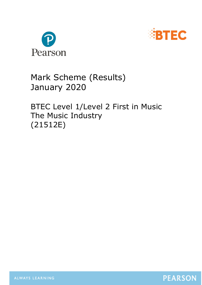



# Mark Scheme (Results) January 2020

## BTEC Level 1/Level 2 First in Music The Music Industry (21512E)

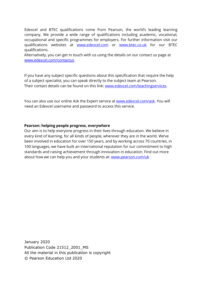Edexcel and BTEC qualifications come from Pearson, the world's leading learning company. We provide a wide range of qualifications including academic, vocational, occupational and specific programmes for employers. For further information visit our qualifications websites at [www.edexcel.com](http://www.edexcel.com/) or [www.btec.co.uk](http://www.btec.co.uk/) for our BTEC qualifications.

Alternatively, you can get in touch with us using the details on our contact us page at [www.edexcel.com/contactus.](http://www.edexcel.com/contactus)

If you have any subject specific questions about this specification that require the help of a subject specialist, you can speak directly to the subject team at Pearson. Their contact details can be found on this link: [www.edexcel.com/teachingservices.](http://www.edexcel.com/teachingservices)

You can also use our online Ask the Expert service at [www.edexcel.com/ask.](http://www.edexcel.com/ask) You will need an Edexcel username and password to access this service.

#### **Pearson: helping people progress, everywhere**

Our aim is to help everyone progress in their lives through education. We believe in every kind of learning, for all kinds of people, wherever they are in the world. We've been involved in education for over 150 years, and by working across 70 countries, in 100 languages, we have built an international reputation for our commitment to high standards and raising achievement through innovation in education. Find out more about how we can help you and your students at: [www.pearson.com/uk](http://www.pearson.com/uk)

January 2020 Publication Code 21512\_2001\_MS All the material in this publication is copyright © Pearson Education Ltd 2020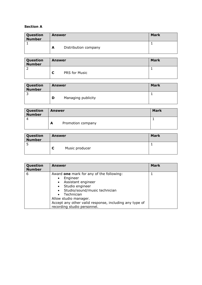### **Section A**

| Question<br><b>Number</b> | Answer                    | <b>Mark</b> |
|---------------------------|---------------------------|-------------|
|                           | Distribution company<br>A |             |

| Question<br><b>Number</b> | <b>Answer</b>      | <b>Mark</b> |
|---------------------------|--------------------|-------------|
|                           | PRS for Music<br>∼ |             |

| Question<br><b>Number</b> | Answer                  | <b>Mark</b> |
|---------------------------|-------------------------|-------------|
|                           |                         |             |
|                           | Managing publicity<br>D |             |

| Question<br><b>Number</b> | Answer                 | <b>Mark</b> |
|---------------------------|------------------------|-------------|
| $\sqrt{2}$                | Promotion company<br>A |             |

| Question<br><b>Number</b> | Answer         | <b>Mark</b> |
|---------------------------|----------------|-------------|
| ے                         | Music producer |             |
|                           | ∼              |             |

| Question<br><b>Number</b> | Answer                                                 | Mark |
|---------------------------|--------------------------------------------------------|------|
| 6                         | Award one mark for any of the following:               |      |
|                           | Engineer                                               |      |
|                           | Assistant engineer                                     |      |
|                           | • Studio engineer                                      |      |
|                           | Studio/sound/music technician                          |      |
|                           | Technician                                             |      |
|                           | Allow studio manager.                                  |      |
|                           | Accept any other valid response, including any type of |      |
|                           | recording studio personnel.                            |      |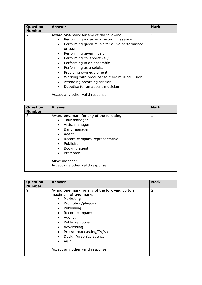| Question<br><b>Number</b> | Answer                                                                                                                                                                                                                                                                                                                                                                                                                                                                                                                                                     | <b>Mark</b> |
|---------------------------|------------------------------------------------------------------------------------------------------------------------------------------------------------------------------------------------------------------------------------------------------------------------------------------------------------------------------------------------------------------------------------------------------------------------------------------------------------------------------------------------------------------------------------------------------------|-------------|
|                           | Award one mark for any of the following:<br>Performing music in a recording session<br>$\bullet$<br>Performing given music for a live performance<br>$\bullet$<br>or tour<br>Performing given music<br>$\bullet$<br>Performing collaboratively<br>$\bullet$<br>Performing in an ensemble<br>$\bullet$<br>Performing as a soloist<br>$\bullet$<br>Providing own equipment<br>٠<br>Working with producer to meet musical vision<br>٠<br>Attending recording session<br>٠<br>Deputise for an absent musician<br>$\bullet$<br>Accept any other valid response. | 1           |

| Question<br><b>Number</b> | <b>Answer</b>                                                                                                                                                                                                                                                                                                                | <b>Mark</b> |
|---------------------------|------------------------------------------------------------------------------------------------------------------------------------------------------------------------------------------------------------------------------------------------------------------------------------------------------------------------------|-------------|
| 8                         | Award one mark for any of the following:<br>Tour manager<br>$\bullet$<br>Artist manager<br>٠<br>Band manager<br>$\bullet$<br>Agent<br>٠<br>Record company representative<br>$\bullet$<br>Publicist<br>$\bullet$<br>Booking agent<br>$\bullet$<br>Promoter<br>$\bullet$<br>Allow manager.<br>Accept any other valid response. |             |

| Question<br><b>Number</b> | <b>Answer</b>                                                                                                                                                                                                                                                                                                                                                                                                           | <b>Mark</b> |
|---------------------------|-------------------------------------------------------------------------------------------------------------------------------------------------------------------------------------------------------------------------------------------------------------------------------------------------------------------------------------------------------------------------------------------------------------------------|-------------|
| 9                         | Award one mark for any of the following up to a<br>maximum of <b>two</b> marks.<br>Marketing<br>$\bullet$<br>Promoting/plugging<br>$\bullet$<br>Publishing<br>$\bullet$<br>Record company<br>$\bullet$<br>Agency<br>$\bullet$<br><b>Public relations</b><br>Advertising<br>٠<br>Press/broadcasting/TV/radio<br>$\bullet$<br>Design/graphics agency<br>$\bullet$<br>A&R<br>$\bullet$<br>Accept any other valid response. | 2           |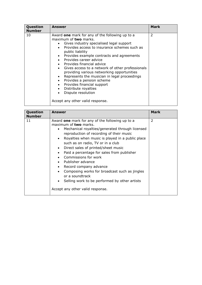| Question<br><b>Number</b> | <b>Answer</b>                                                                                                                                                                                                                                                                                                                                                                                                                                                                                                                                                                                                                                                                                        | <b>Mark</b> |
|---------------------------|------------------------------------------------------------------------------------------------------------------------------------------------------------------------------------------------------------------------------------------------------------------------------------------------------------------------------------------------------------------------------------------------------------------------------------------------------------------------------------------------------------------------------------------------------------------------------------------------------------------------------------------------------------------------------------------------------|-------------|
| 10                        | Award one mark for any of the following up to a<br>maximum of <b>two</b> marks.<br>Gives industry specialised legal support<br>$\bullet$<br>Provides access to insurance schemes such as<br>public liability<br>Provides example contracts and agreements<br>$\bullet$<br>• Provides career advice<br>Provides financial advice<br>Gives access to a network of other professionals<br>$\bullet$<br>providing various networking opportunities<br>Represents the musician in legal proceedings<br>$\bullet$<br>Provides a pension scheme<br>$\bullet$<br>Provides financial support<br>$\bullet$<br>Distribute royalties<br>$\bullet$<br>Dispute resolution<br>٠<br>Accept any other valid response. | 2           |

| Question      | <b>Answer</b>                                                                                                                                                                                                                                                                                                                                                                                                                                                                                                                                                                                                                                                           | <b>Mark</b>    |
|---------------|-------------------------------------------------------------------------------------------------------------------------------------------------------------------------------------------------------------------------------------------------------------------------------------------------------------------------------------------------------------------------------------------------------------------------------------------------------------------------------------------------------------------------------------------------------------------------------------------------------------------------------------------------------------------------|----------------|
| <b>Number</b> |                                                                                                                                                                                                                                                                                                                                                                                                                                                                                                                                                                                                                                                                         |                |
| 11            | Award one mark for any of the following up to a<br>maximum of <b>two</b> marks.<br>Mechanical royalties/generated through licensed<br>$\bullet$<br>reproduction of recording of their music<br>Royalties when music is played in a public place<br>$\bullet$<br>such as on radio, TV or in a club<br>Direct sales of printed/sheet music<br>$\bullet$<br>Paid a percentage for sales from publisher<br>٠<br>Commissions for work<br>Publisher advance<br>Record company advance<br>٠<br>Composing works for broadcast such as jingles<br>$\bullet$<br>or a soundtrack<br>Selling work to be performed by other artists<br>$\bullet$<br>Accept any other valid response. | $\overline{2}$ |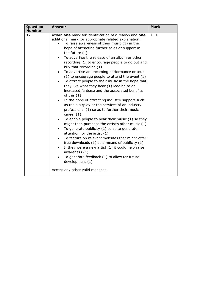| Question      | <b>Answer</b>                                                                                                                                                                                                                                                                                                                                                                                                                                                                                                                                                                                                                                                                                                                                                                                                                                                                                                                                                                                                                                                                                                                                                                                                                                                                                                                                                                        | <b>Mark</b> |
|---------------|--------------------------------------------------------------------------------------------------------------------------------------------------------------------------------------------------------------------------------------------------------------------------------------------------------------------------------------------------------------------------------------------------------------------------------------------------------------------------------------------------------------------------------------------------------------------------------------------------------------------------------------------------------------------------------------------------------------------------------------------------------------------------------------------------------------------------------------------------------------------------------------------------------------------------------------------------------------------------------------------------------------------------------------------------------------------------------------------------------------------------------------------------------------------------------------------------------------------------------------------------------------------------------------------------------------------------------------------------------------------------------------|-------------|
| <b>Number</b> |                                                                                                                                                                                                                                                                                                                                                                                                                                                                                                                                                                                                                                                                                                                                                                                                                                                                                                                                                                                                                                                                                                                                                                                                                                                                                                                                                                                      |             |
| 12            | Award one mark for identification of a reason and one<br>additional mark for appropriate related explanation.<br>To raise awareness of their music $(1)$ in the<br>hope of attracting further sales or support in<br>the future $(1)$<br>To advertise the release of an album or other<br>$\bullet$<br>recording (1) to encourage people to go out and<br>buy that recording (1)<br>To advertise an upcoming performance or tour<br>$\bullet$<br>$(1)$ to encourage people to attend the event $(1)$<br>To attract people to their music in the hope that<br>$\bullet$<br>they like what they hear (1) leading to an<br>increased fanbase and the associated benefits<br>of this $(1)$<br>In the hope of attracting industry support such<br>$\bullet$<br>as radio airplay or the services of an industry<br>professional (1) so as to further their music<br>career $(1)$<br>To enable people to hear their music (1) so they<br>might then purchase the artist's other music (1)<br>To generate publicity (1) so as to generate<br>$\bullet$<br>attention for the artist (1)<br>To feature on relevant websites that might offer<br>$\bullet$<br>free downloads $(1)$ as a means of publicity $(1)$<br>If they were a new artist $(1)$ it could help raise<br>awareness (1)<br>To generate feedback (1) to allow for future<br>development (1)<br>Accept any other valid response. | $1 + 1$     |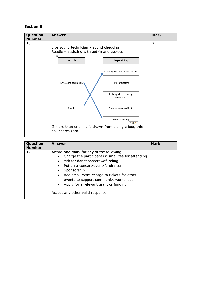#### **Section B**

| Question<br><b>Number</b> | <b>Answer</b>                                                                               | <b>Mark</b>    |
|---------------------------|---------------------------------------------------------------------------------------------|----------------|
| 13                        | Live sound technician $-$ sound checking<br>Roadie - assisting with get-in and get-out<br>重 | $\overline{2}$ |
|                           | Job role<br>Responsibility                                                                  |                |
|                           | Assisting with get-in and get-out                                                           |                |
|                           | Live sound technician<br>Hiring musicians                                                   |                |
|                           | Liaising with recording<br>companies                                                        |                |
|                           | Roadie<br>Pitching ideas to clients                                                         |                |
|                           | Sound checking<br>B (Ctrl) ▼ H                                                              |                |
|                           | If more than one line is drawn from a single box, this<br>box scores zero.                  |                |

| Question<br><b>Number</b> | <b>Answer</b>                                                                                                                                                                                                                                                                                                                                              | <b>Mark</b> |
|---------------------------|------------------------------------------------------------------------------------------------------------------------------------------------------------------------------------------------------------------------------------------------------------------------------------------------------------------------------------------------------------|-------------|
| 14                        | Award one mark for any of the following:<br>Charge the participants a small fee for attending<br>Ask for donations/crowdfunding<br>Put on a concert/event/fundraiser<br>Sponsorship<br>Add small extra charge to tickets for other<br>events to support community workshops<br>• Apply for a relevant grant or funding<br>Accept any other valid response. | 1           |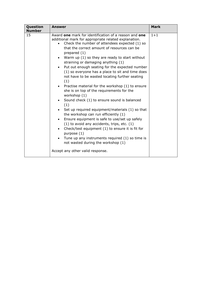| Question      | <b>Answer</b>                                                                                                                                                                                                                                                                                                                                                                                                                                                                                                                                                                                                                                                                                                                                                                                                                                                                                                                                                                                                                                                                          | <b>Mark</b> |
|---------------|----------------------------------------------------------------------------------------------------------------------------------------------------------------------------------------------------------------------------------------------------------------------------------------------------------------------------------------------------------------------------------------------------------------------------------------------------------------------------------------------------------------------------------------------------------------------------------------------------------------------------------------------------------------------------------------------------------------------------------------------------------------------------------------------------------------------------------------------------------------------------------------------------------------------------------------------------------------------------------------------------------------------------------------------------------------------------------------|-------------|
| <b>Number</b> |                                                                                                                                                                                                                                                                                                                                                                                                                                                                                                                                                                                                                                                                                                                                                                                                                                                                                                                                                                                                                                                                                        |             |
| 15            | Award one mark for identification of a reason and one<br>additional mark for appropriate related explanation.<br>Check the number of attendees expected (1) so<br>that the correct amount of resources can be<br>prepared (1)<br>Warm up $(1)$ so they are ready to start without<br>straining or damaging anything (1)<br>Put out enough seating for the expected number<br>(1) so everyone has a place to sit and time does<br>not have to be wasted locating further seating<br>(1)<br>Practise material for the workshop (1) to ensure<br>she is on top of the requirements for the<br>workshop (1)<br>Sound check (1) to ensure sound is balanced<br>$\bullet$<br>(1)<br>Set up required equipment/materials (1) so that<br>the workshop can run efficiently (1)<br>Ensure equipment is safe to use/set up safely<br>$\bullet$<br>$(1)$ to avoid any accidents, trips, etc. $(1)$<br>Check/test equipment (1) to ensure it is fit for<br>purpose (1)<br>Tune up any instruments required (1) so time is<br>not wasted during the workshop (1)<br>Accept any other valid response. | $1 + 1$     |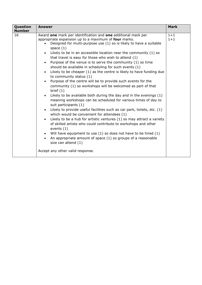| Question<br><b>Number</b> | <b>Answer</b>                                                                                                                                                                                                                                                                                                                                                                                                                                                                                                                                                                                                                                                                                                                                                                                                                                                                                                                                                                                                                                                                                                                                                                                                                                                                  | Mark               |
|---------------------------|--------------------------------------------------------------------------------------------------------------------------------------------------------------------------------------------------------------------------------------------------------------------------------------------------------------------------------------------------------------------------------------------------------------------------------------------------------------------------------------------------------------------------------------------------------------------------------------------------------------------------------------------------------------------------------------------------------------------------------------------------------------------------------------------------------------------------------------------------------------------------------------------------------------------------------------------------------------------------------------------------------------------------------------------------------------------------------------------------------------------------------------------------------------------------------------------------------------------------------------------------------------------------------|--------------------|
| 16                        | Award one mark per identification and one additional mark per<br>appropriate expansion up to a maximum of four marks.<br>Designed for multi-purpose use (1) so is likely to have a suitable<br>space $(1)$<br>Likely to be in an accessible location near the community (1) so<br>that travel is easy for those who wish to attend (1)<br>Purpose of the venue is to serve the community (1) so time<br>$\bullet$<br>should be available in scheduling for such events (1)<br>Likely to be cheaper (1) as the centre is likely to have funding due<br>$\bullet$<br>to community status (1)<br>Purpose of the centre will be to provide such events for the<br>community (1) so workshops will be welcomed as part of that<br>brief $(1)$<br>Likely to be available both during the day and in the evenings (1)<br>meaning workshops can be scheduled for various times of day to<br>suit participants (1)<br>Likely to provide useful facilities such as car park, toilets, etc. (1)<br>$\bullet$<br>which would be convenient for attendees (1)<br>Likely to be a hub for artistic ventures (1) so may attract a variety<br>of skilled artists who could contribute to workshops and other<br>events $(1)$<br>Will have equipment to use (1) so does not have to be hired (1) | $1 + 1$<br>$1 + 1$ |
|                           | An appropriate amount of space (1) so groups of a reasonable<br>size can attend (1)<br>Accept any other valid response.                                                                                                                                                                                                                                                                                                                                                                                                                                                                                                                                                                                                                                                                                                                                                                                                                                                                                                                                                                                                                                                                                                                                                        |                    |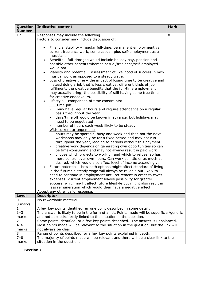| Question            | <b>Indicative content</b>                                                                                                                                                                                                                                                                                                                                                                                                                                                                                                                                                                                                                                                                                                                                                                                                                                                                                                                                                                                                                                                                                                                                                                                                                                                                                                                                                                                                                                                                                                                                                                                                                                                                                                                                                                                                                                                                                                                                                                              | <b>Mark</b> |
|---------------------|--------------------------------------------------------------------------------------------------------------------------------------------------------------------------------------------------------------------------------------------------------------------------------------------------------------------------------------------------------------------------------------------------------------------------------------------------------------------------------------------------------------------------------------------------------------------------------------------------------------------------------------------------------------------------------------------------------------------------------------------------------------------------------------------------------------------------------------------------------------------------------------------------------------------------------------------------------------------------------------------------------------------------------------------------------------------------------------------------------------------------------------------------------------------------------------------------------------------------------------------------------------------------------------------------------------------------------------------------------------------------------------------------------------------------------------------------------------------------------------------------------------------------------------------------------------------------------------------------------------------------------------------------------------------------------------------------------------------------------------------------------------------------------------------------------------------------------------------------------------------------------------------------------------------------------------------------------------------------------------------------------|-------------|
| <b>Number</b><br>17 | Responses may include the following.<br>Factors to consider may include discussion of:<br>Financial stability - regular full-time, permanent employment vs<br>$\bullet$<br>current freelance work, some casual, plus self-employment as a<br>musician.<br>Benefits - full-time job would include holiday pay, pension and<br>$\bullet$<br>possible other benefits whereas casual/freelance/self-employed<br>would not.<br>Viability and potential - assessment of likelihood of success in own<br>$\bullet$<br>musical work as opposed to a steady wage.<br>Loss of creative time - the impact of losing time to be creative and<br>$\bullet$<br>instead doing a job that is less creative; different kinds of job<br>fulfilment; the creative benefits that the full-time employment<br>may actually bring; the possibility of still having some free time<br>for creative endeavours.<br>Lifestyle - comparison of time constraints:<br>$\bullet$<br>Full-time job:<br>may have regular hours and require attendance on a regular<br>basis throughout the year<br>days/time off would be known in advance, but holidays may<br>need to be negotiated<br>number of hours each week likely to be steady.<br>With current arrangement:<br>hours may be sporadic, busy one week and then not the next<br>workshops may only be for a fixed period and may not run<br>throughout the year, leading to periods without this payment<br>creative work depends on generating own opportunities so can<br>-<br>be time-consuming and may not always result in paid work<br>choose which projects to work on and which to refuse, so has<br>-<br>more control over own hours. Can work as little or as much as<br>desired, which would also affect level of income accordingly.<br>Future potential - how both options might affect standard of living<br>$\bullet$<br>in the future: a steady wage will always be reliable but likely to<br>need to continue in employment until retirement in order to cover | 8           |
|                     | expenses; current employment leaves possibility for greater<br>success, which might affect future lifestyle but might also result in<br>less remuneration which would then have a negative effect.                                                                                                                                                                                                                                                                                                                                                                                                                                                                                                                                                                                                                                                                                                                                                                                                                                                                                                                                                                                                                                                                                                                                                                                                                                                                                                                                                                                                                                                                                                                                                                                                                                                                                                                                                                                                     |             |
|                     | Accept any other valid response.                                                                                                                                                                                                                                                                                                                                                                                                                                                                                                                                                                                                                                                                                                                                                                                                                                                                                                                                                                                                                                                                                                                                                                                                                                                                                                                                                                                                                                                                                                                                                                                                                                                                                                                                                                                                                                                                                                                                                                       |             |
| <b>Level</b>        | <b>Descriptor</b>                                                                                                                                                                                                                                                                                                                                                                                                                                                                                                                                                                                                                                                                                                                                                                                                                                                                                                                                                                                                                                                                                                                                                                                                                                                                                                                                                                                                                                                                                                                                                                                                                                                                                                                                                                                                                                                                                                                                                                                      |             |
| 0<br>0 marks        | No rewardable material.                                                                                                                                                                                                                                                                                                                                                                                                                                                                                                                                                                                                                                                                                                                                                                                                                                                                                                                                                                                                                                                                                                                                                                                                                                                                                                                                                                                                                                                                                                                                                                                                                                                                                                                                                                                                                                                                                                                                                                                |             |
| $\mathbf{1}$        | A few key points identified, or one point described in some detail.                                                                                                                                                                                                                                                                                                                                                                                                                                                                                                                                                                                                                                                                                                                                                                                                                                                                                                                                                                                                                                                                                                                                                                                                                                                                                                                                                                                                                                                                                                                                                                                                                                                                                                                                                                                                                                                                                                                                    |             |
| $1 - 3$             | The answer is likely to be in the form of a list. Points made will be superficial/generic                                                                                                                                                                                                                                                                                                                                                                                                                                                                                                                                                                                                                                                                                                                                                                                                                                                                                                                                                                                                                                                                                                                                                                                                                                                                                                                                                                                                                                                                                                                                                                                                                                                                                                                                                                                                                                                                                                              |             |
| marks               | and not applied/directly linked to the situation in the question.                                                                                                                                                                                                                                                                                                                                                                                                                                                                                                                                                                                                                                                                                                                                                                                                                                                                                                                                                                                                                                                                                                                                                                                                                                                                                                                                                                                                                                                                                                                                                                                                                                                                                                                                                                                                                                                                                                                                      |             |
| $\overline{2}$      | Some points identified, or a few key points described. The answer is unbalanced.                                                                                                                                                                                                                                                                                                                                                                                                                                                                                                                                                                                                                                                                                                                                                                                                                                                                                                                                                                                                                                                                                                                                                                                                                                                                                                                                                                                                                                                                                                                                                                                                                                                                                                                                                                                                                                                                                                                       |             |
| $4 - 6$             | Most points made will be relevant to the situation in the question, but the link will                                                                                                                                                                                                                                                                                                                                                                                                                                                                                                                                                                                                                                                                                                                                                                                                                                                                                                                                                                                                                                                                                                                                                                                                                                                                                                                                                                                                                                                                                                                                                                                                                                                                                                                                                                                                                                                                                                                  |             |
| marks               | not always be clear.                                                                                                                                                                                                                                                                                                                                                                                                                                                                                                                                                                                                                                                                                                                                                                                                                                                                                                                                                                                                                                                                                                                                                                                                                                                                                                                                                                                                                                                                                                                                                                                                                                                                                                                                                                                                                                                                                                                                                                                   |             |
| 3                   | Range of points described, or a few key points explained in depth.                                                                                                                                                                                                                                                                                                                                                                                                                                                                                                                                                                                                                                                                                                                                                                                                                                                                                                                                                                                                                                                                                                                                                                                                                                                                                                                                                                                                                                                                                                                                                                                                                                                                                                                                                                                                                                                                                                                                     |             |
| $7 - 8$             | The majority of points made will be relevant and there will be a clear link to the                                                                                                                                                                                                                                                                                                                                                                                                                                                                                                                                                                                                                                                                                                                                                                                                                                                                                                                                                                                                                                                                                                                                                                                                                                                                                                                                                                                                                                                                                                                                                                                                                                                                                                                                                                                                                                                                                                                     |             |
| marks               | situation in the question.                                                                                                                                                                                                                                                                                                                                                                                                                                                                                                                                                                                                                                                                                                                                                                                                                                                                                                                                                                                                                                                                                                                                                                                                                                                                                                                                                                                                                                                                                                                                                                                                                                                                                                                                                                                                                                                                                                                                                                             |             |

**Section C**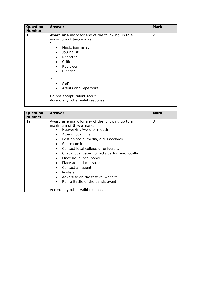| Question<br><b>Number</b> | <b>Answer</b>                                                                                                                                                                                                     | <b>Mark</b>    |
|---------------------------|-------------------------------------------------------------------------------------------------------------------------------------------------------------------------------------------------------------------|----------------|
| 18                        | Award one mark for any of the following up to a<br>maximum of two marks.<br>1.<br>Music journalist<br>$\bullet$<br>Journalist<br>$\bullet$<br>Reporter<br>$\bullet$<br>Critic<br>$\bullet$<br>Reviewer<br>Blogger | $\overline{2}$ |
|                           | 2.<br><b>A&amp;R</b><br>Artists and repertoire<br>$\bullet$<br>Do not accept 'talent scout'.<br>Accept any other valid response.                                                                                  |                |

| Question<br><b>Number</b> | Answer                                                                                                                                                                                                                                                                                                                                                                                                                                                                                                                                                                                      | <b>Mark</b> |
|---------------------------|---------------------------------------------------------------------------------------------------------------------------------------------------------------------------------------------------------------------------------------------------------------------------------------------------------------------------------------------------------------------------------------------------------------------------------------------------------------------------------------------------------------------------------------------------------------------------------------------|-------------|
| 19                        | Award one mark for any of the following up to a<br>maximum of <b>three</b> marks.<br>Networking/word of mouth<br>$\bullet$<br>Attend local gigs<br>$\bullet$<br>Post on social media, e.g. Facebook<br>$\bullet$<br>Search online<br>Contact local college or university<br>$\bullet$<br>Check local paper for acts performing locally<br>$\bullet$<br>Place ad in local paper<br>$\bullet$<br>Place ad on local radio<br>Contact an agent<br>$\bullet$<br>Posters<br>$\bullet$<br>Advertise on the festival website<br>Run a Battle of the bands event<br>Accept any other valid response. | 3           |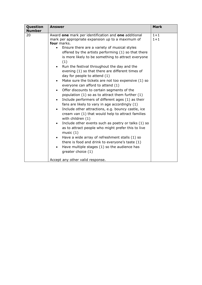| Question<br><b>Number</b> | <b>Answer</b>                                                                                                                                                                                                                                                                                                                                                                                                                                                                                                                                                                                                                                                                                                                                                                                                                                                                                                                                                                                                                                                                                                                                                                                                                                                          | <b>Mark</b>        |
|---------------------------|------------------------------------------------------------------------------------------------------------------------------------------------------------------------------------------------------------------------------------------------------------------------------------------------------------------------------------------------------------------------------------------------------------------------------------------------------------------------------------------------------------------------------------------------------------------------------------------------------------------------------------------------------------------------------------------------------------------------------------------------------------------------------------------------------------------------------------------------------------------------------------------------------------------------------------------------------------------------------------------------------------------------------------------------------------------------------------------------------------------------------------------------------------------------------------------------------------------------------------------------------------------------|--------------------|
| 20                        | Award one mark per identification and one additional<br>mark per appropriate expansion up to a maximum of<br>four marks.<br>Ensure there are a variety of musical styles<br>offered by the artists performing (1) so that there<br>is more likely to be something to attract everyone<br>(1)<br>Run the festival throughout the day and the<br>evening (1) so that there are different times of<br>day for people to attend (1)<br>Make sure the tickets are not too expensive (1) so<br>$\bullet$<br>everyone can afford to attend (1)<br>Offer discounts to certain segments of the<br>$\bullet$<br>population $(1)$ so as to attract them further $(1)$<br>Include performers of different ages (1) as their<br>fans are likely to vary in age accordingly (1)<br>Include other attractions, e.g. bouncy castle, ice<br>$\bullet$<br>cream van (1) that would help to attract families<br>with children (1)<br>Include other events such as poetry or talks (1) so<br>$\bullet$<br>as to attract people who might prefer this to live<br>music $(1)$<br>Have a wide array of refreshment stalls (1) so<br>there is food and drink to everyone's taste (1)<br>Have multiple stages (1) so the audience has<br>greater choice (1)<br>Accept any other valid response. | $1 + 1$<br>$1 + 1$ |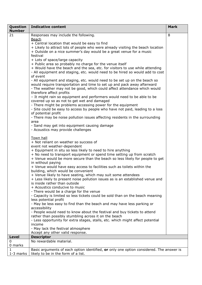| Question      | <b>Indicative content</b>                                                               | <b>Mark</b> |
|---------------|-----------------------------------------------------------------------------------------|-------------|
| <b>Number</b> |                                                                                         |             |
| 21            | Responses may include the following.                                                    | 8           |
|               | Beach                                                                                   |             |
|               | + Central location that would be easy to find                                           |             |
|               | + Likely to attract lots of people who were already visiting the beach location         |             |
|               | + Outside on a nice summer's day would be a great venue for a music                     |             |
|               | festival                                                                                |             |
|               | + Lots of space/large capacity                                                          |             |
|               | + Public area so probably no charge for the venue itself                                |             |
|               | + Would have the beach and the sea, etc. for visitors to use while attending            |             |
|               | - All equipment and staging, etc. would need to be hired so would add to cost           |             |
|               | of event                                                                                |             |
|               | - All equipment and staging, etc. would need to be set up on the beach so               |             |
|               | would require transportation and time to set up and pack away afterward                 |             |
|               | - The weather may not be good, which could affect attendance which would                |             |
|               | therefore affect profits                                                                |             |
|               | - It might rain so equipment and performers would need to be able to be                 |             |
|               | covered up so as not to get wet and damaged                                             |             |
|               | - There might be problems accessing power for the equipment                             |             |
|               | - Site could be easy to access by people who have not paid, leading to a loss           |             |
|               | of potential profit                                                                     |             |
|               | - There may be noise pollution issues affecting residents in the surrounding            |             |
|               | area                                                                                    |             |
|               | - Sand may get into equipment causing damage                                            |             |
|               | - Acoustics may provide challenges                                                      |             |
|               |                                                                                         |             |
|               | Town hall                                                                               |             |
|               | + Not reliant on weather so success of                                                  |             |
|               | event not weather-dependent                                                             |             |
|               | + Equipment in situ so less likely to need to hire anything                             |             |
|               | + No need to transport equipment or spend time setting up from scratch                  |             |
|               | + Venue would be more secure than the beach so less likely for people to get            |             |
|               | in without paying                                                                       |             |
|               | + Venue would have easy access to facilities such as toilets within the                 |             |
|               | building, which would be convenient                                                     |             |
|               | + Venue likely to have seating, which may suit some attendees                           |             |
|               | + Less likely to present noise pollution issues as is an established venue and          |             |
|               | is inside rather than outside                                                           |             |
|               | + Acoustics conducive to music                                                          |             |
|               | - There would be a charge for the venue                                                 |             |
|               | - Capacity is limited so less tickets could be sold than on the beach meaning           |             |
|               | less potential profit                                                                   |             |
|               | - May be less easy to find than the beach and may have less parking or                  |             |
|               | accessibility                                                                           |             |
|               | - People would need to know about the festival and buy tickets to attend                |             |
|               | rather than possibly stumbling across it on the beach                                   |             |
|               | - Less opportunity for extra stages, stalls, etc. which might affect potential          |             |
|               | income                                                                                  |             |
|               | - May lack the festival atmosphere                                                      |             |
|               | Accept any other valid response.                                                        |             |
| <b>Level</b>  | <b>Descriptor</b>                                                                       |             |
| 0             | No rewardable material.                                                                 |             |
| 0 marks       |                                                                                         |             |
| 1             | Basic arguments of each option identified, or only one option considered. The answer is |             |
| 1-3 marks     | likely to be in the form of a list.                                                     |             |
|               |                                                                                         |             |